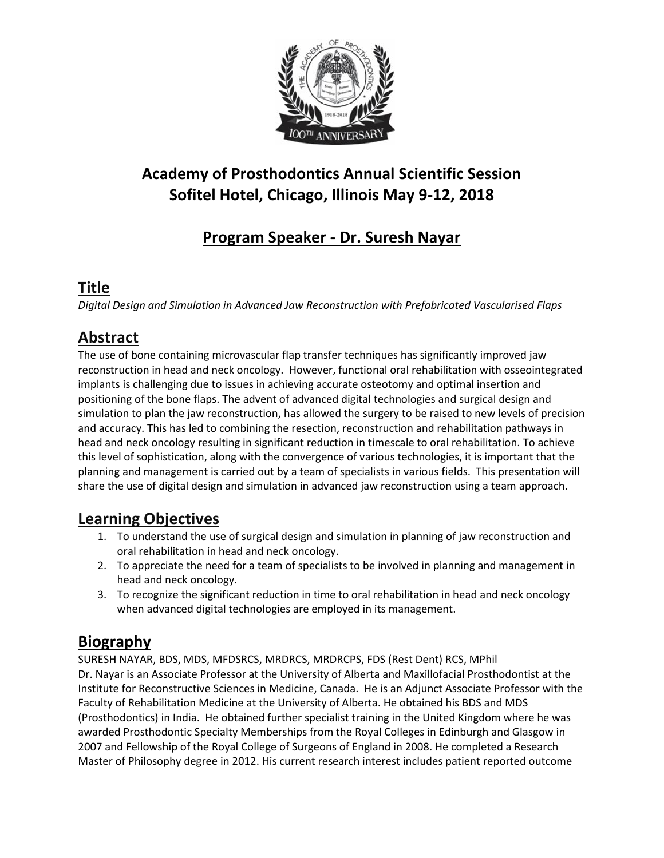

# **Academy of Prosthodontics Annual Scientific Session Sofitel Hotel, Chicago, Illinois May 9-12, 2018**

# **Program Speaker - Dr. Suresh Nayar**

### **Title**

*Digital Design and Simulation in Advanced Jaw Reconstruction with Prefabricated Vascularised Flaps*

## **Abstract**

The use of bone containing microvascular flap transfer techniques has significantly improved jaw reconstruction in head and neck oncology. However, functional oral rehabilitation with osseointegrated implants is challenging due to issues in achieving accurate osteotomy and optimal insertion and positioning of the bone flaps. The advent of advanced digital technologies and surgical design and simulation to plan the jaw reconstruction, has allowed the surgery to be raised to new levels of precision and accuracy. This has led to combining the resection, reconstruction and rehabilitation pathways in head and neck oncology resulting in significant reduction in timescale to oral rehabilitation. To achieve this level of sophistication, along with the convergence of various technologies, it is important that the planning and management is carried out by a team of specialists in various fields. This presentation will share the use of digital design and simulation in advanced jaw reconstruction using a team approach.

## **Learning Objectives**

- 1. To understand the use of surgical design and simulation in planning of jaw reconstruction and oral rehabilitation in head and neck oncology.
- 2. To appreciate the need for a team of specialists to be involved in planning and management in head and neck oncology.
- 3. To recognize the significant reduction in time to oral rehabilitation in head and neck oncology when advanced digital technologies are employed in its management.

#### **Biography**

SURESH NAYAR, BDS, MDS, MFDSRCS, MRDRCS, MRDRCPS, FDS (Rest Dent) RCS, MPhil Dr. Nayar is an Associate Professor at the University of Alberta and Maxillofacial Prosthodontist at the Institute for Reconstructive Sciences in Medicine, Canada. He is an Adjunct Associate Professor with the Faculty of Rehabilitation Medicine at the University of Alberta. He obtained his BDS and MDS (Prosthodontics) in India. He obtained further specialist training in the United Kingdom where he was awarded Prosthodontic Specialty Memberships from the Royal Colleges in Edinburgh and Glasgow in 2007 and Fellowship of the Royal College of Surgeons of England in 2008. He completed a Research Master of Philosophy degree in 2012. His current research interest includes patient reported outcome